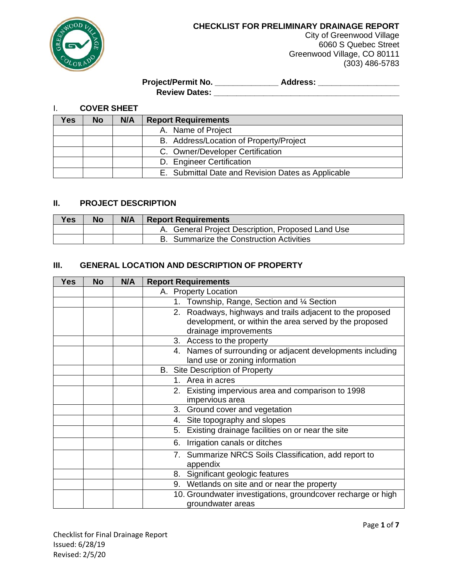

City of Greenwood Village 6060 S Quebec Street Greenwood Village, CO 80111 (303) 486-5783

# **Project/Permit No. \_\_\_\_\_\_\_\_\_\_\_\_\_\_ Address: \_\_\_\_\_\_\_\_\_\_\_\_\_\_\_\_\_\_ Review Dates: \_\_\_\_\_\_\_\_\_\_\_\_\_\_\_\_\_\_\_\_\_\_\_\_\_\_\_\_\_\_\_\_\_\_\_\_\_\_\_\_\_**

I. **COVER SHEET**

| res. | No | N/A | <b>Report Requirements</b>                         |  |
|------|----|-----|----------------------------------------------------|--|
|      |    |     | A. Name of Project                                 |  |
|      |    |     | B. Address/Location of Property/Project            |  |
|      |    |     | C. Owner/Developer Certification                   |  |
|      |    |     | D. Engineer Certification                          |  |
|      |    |     | E. Submittal Date and Revision Dates as Applicable |  |

# **II. PROJECT DESCRIPTION**

| <b>Yes</b> | No | N/A | <b>Report Requirements</b>                        |  |
|------------|----|-----|---------------------------------------------------|--|
|            |    |     | A. General Project Description, Proposed Land Use |  |
|            |    |     | B. Summarize the Construction Activities          |  |

# **III. GENERAL LOCATION AND DESCRIPTION OF PROPERTY**

| <b>Yes</b> | <b>No</b> | N/A | <b>Report Requirements</b>                                        |
|------------|-----------|-----|-------------------------------------------------------------------|
|            |           |     | A. Property Location                                              |
|            |           |     | Township, Range, Section and 1/4 Section<br>1.                    |
|            |           |     | 2. Roadways, highways and trails adjacent to the proposed         |
|            |           |     | development, or within the area served by the proposed            |
|            |           |     | drainage improvements                                             |
|            |           |     | Access to the property<br>3.                                      |
|            |           |     | 4. Names of surrounding or adjacent developments including        |
|            |           |     | land use or zoning information                                    |
|            |           |     | <b>B.</b> Site Description of Property                            |
|            |           |     | Area in acres<br>1.                                               |
|            |           |     | Existing impervious area and comparison to 1998<br>2.             |
|            |           |     | impervious area                                                   |
|            |           |     | Ground cover and vegetation<br>3.                                 |
|            |           |     | 4. Site topography and slopes                                     |
|            |           |     | Existing drainage facilities on or near the site<br>5.            |
|            |           |     | Irrigation canals or ditches<br>6.                                |
|            |           |     | 7. Summarize NRCS Soils Classification, add report to<br>appendix |
|            |           |     | 8. Significant geologic features                                  |
|            |           |     | 9. Wetlands on site and or near the property                      |
|            |           |     | 10. Groundwater investigations, groundcover recharge or high      |
|            |           |     | groundwater areas                                                 |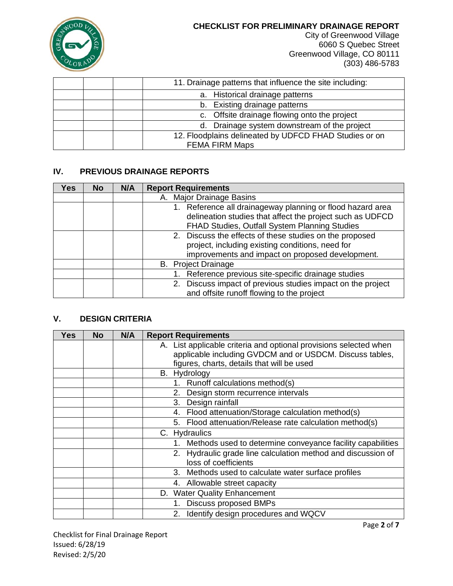

City of Greenwood Village 6060 S Quebec Street Greenwood Village, CO 80111 (303) 486-5783

| 11. Drainage patterns that influence the site including: |
|----------------------------------------------------------|
| a. Historical drainage patterns                          |
| b. Existing drainage patterns                            |
| c. Offsite drainage flowing onto the project             |
| d. Drainage system downstream of the project             |
| 12. Floodplains delineated by UDFCD FHAD Studies or on   |
| <b>FEMA FIRM Maps</b>                                    |

# **IV. PREVIOUS DRAINAGE REPORTS**

| Yes | <b>No</b> | N/A | <b>Report Requirements</b>                                                                                                                                               |
|-----|-----------|-----|--------------------------------------------------------------------------------------------------------------------------------------------------------------------------|
|     |           |     | A. Major Drainage Basins                                                                                                                                                 |
|     |           |     | 1. Reference all drainageway planning or flood hazard area<br>delineation studies that affect the project such as UDFCD<br>FHAD Studies, Outfall System Planning Studies |
|     |           |     | 2. Discuss the effects of these studies on the proposed<br>project, including existing conditions, need for<br>improvements and impact on proposed development.          |
|     |           |     | <b>B.</b> Project Drainage                                                                                                                                               |
|     |           |     | 1. Reference previous site-specific drainage studies                                                                                                                     |
|     |           |     | 2. Discuss impact of previous studies impact on the project<br>and offsite runoff flowing to the project                                                                 |

# **V. DESIGN CRITERIA**

| <b>Yes</b> | <b>No</b> | N/A | <b>Report Requirements</b>                                        |
|------------|-----------|-----|-------------------------------------------------------------------|
|            |           |     | A. List applicable criteria and optional provisions selected when |
|            |           |     | applicable including GVDCM and or USDCM. Discuss tables,          |
|            |           |     | figures, charts, details that will be used                        |
|            |           |     | B. Hydrology                                                      |
|            |           |     | 1. Runoff calculations method(s)                                  |
|            |           |     | Design storm recurrence intervals<br>2.                           |
|            |           |     | Design rainfall<br>3.                                             |
|            |           |     | Flood attenuation/Storage calculation method(s)<br>4.             |
|            |           |     | Flood attenuation/Release rate calculation method(s)<br>5.        |
|            |           |     | C. Hydraulics                                                     |
|            |           |     | Methods used to determine conveyance facility capabilities<br>1.  |
|            |           |     | 2. Hydraulic grade line calculation method and discussion of      |
|            |           |     | loss of coefficients                                              |
|            |           |     | Methods used to calculate water surface profiles<br>3.            |
|            |           |     | 4. Allowable street capacity                                      |
|            |           |     | D. Water Quality Enhancement                                      |
|            |           |     | <b>Discuss proposed BMPs</b><br>1.                                |
|            |           |     | Identify design procedures and WQCV                               |

Page **2** of **7**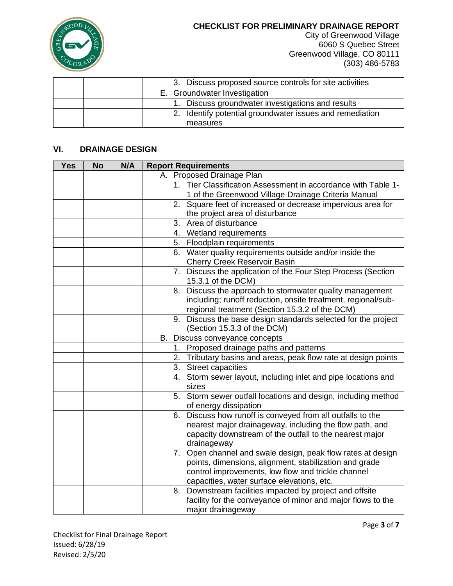

City of Greenwood Village 6060 S Quebec Street Greenwood Village, CO 80111 (303) 486-5783

|  | 3. Discuss proposed source controls for site activities  |
|--|----------------------------------------------------------|
|  | E. Groundwater Investigation                             |
|  | 1. Discuss groundwater investigations and results        |
|  | 2. Identify potential groundwater issues and remediation |
|  | measures                                                 |

# **VI. DRAINAGE DESIGN**

| <b>Yes</b> | <b>No</b> | N/A | <b>Report Requirements</b>                                       |
|------------|-----------|-----|------------------------------------------------------------------|
|            |           |     | A. Proposed Drainage Plan                                        |
|            |           |     | Tier Classification Assessment in accordance with Table 1-<br>1. |
|            |           |     | 1 of the Greenwood Village Drainage Criteria Manual              |
|            |           |     | Square feet of increased or decrease impervious area for<br>2.   |
|            |           |     | the project area of disturbance                                  |
|            |           |     | Area of disturbance<br>3.                                        |
|            |           |     | 4. Wetland requirements                                          |
|            |           |     | 5. Floodplain requirements                                       |
|            |           |     | 6. Water quality requirements outside and/or inside the          |
|            |           |     | <b>Cherry Creek Reservoir Basin</b>                              |
|            |           |     | 7. Discuss the application of the Four Step Process (Section     |
|            |           |     | 15.3.1 of the DCM)                                               |
|            |           |     | Discuss the approach to stormwater quality management<br>8.      |
|            |           |     | including; runoff reduction, onsite treatment, regional/sub-     |
|            |           |     | regional treatment (Section 15.3.2 of the DCM)                   |
|            |           |     | 9. Discuss the base design standards selected for the project    |
|            |           |     | (Section 15.3.3 of the DCM)                                      |
|            |           |     | B. Discuss conveyance concepts                                   |
|            |           |     | 1. Proposed drainage paths and patterns                          |
|            |           |     | 2. Tributary basins and areas, peak flow rate at design points   |
|            |           |     | 3. Street capacities                                             |
|            |           |     | 4. Storm sewer layout, including inlet and pipe locations and    |
|            |           |     | sizes                                                            |
|            |           |     | 5. Storm sewer outfall locations and design, including method    |
|            |           |     | of energy dissipation                                            |
|            |           |     | 6. Discuss how runoff is conveyed from all outfalls to the       |
|            |           |     | nearest major drainageway, including the flow path, and          |
|            |           |     | capacity downstream of the outfall to the nearest major          |
|            |           |     | drainageway                                                      |
|            |           |     | 7. Open channel and swale design, peak flow rates at design      |
|            |           |     | points, dimensions, alignment, stabilization and grade           |
|            |           |     | control improvements, low flow and trickle channel               |
|            |           |     | capacities, water surface elevations, etc.                       |
|            |           |     | 8. Downstream facilities impacted by project and offsite         |
|            |           |     | facility for the conveyance of minor and major flows to the      |
|            |           |     | major drainageway                                                |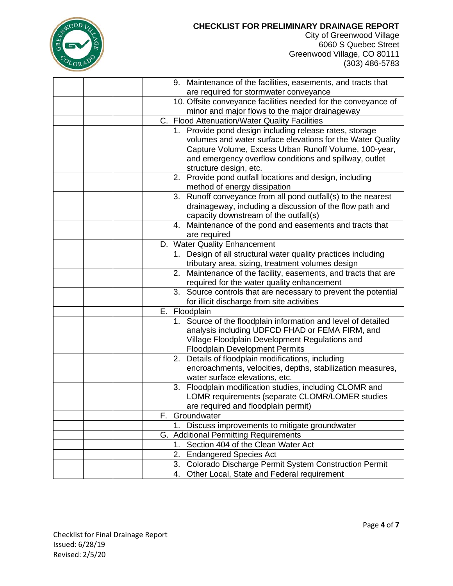

City of Greenwood Village 6060 S Quebec Street Greenwood Village, CO 80111 (303) 486-5783

|  |    | 9. Maintenance of the facilities, easements, and tracts that   |
|--|----|----------------------------------------------------------------|
|  |    | are required for stormwater conveyance                         |
|  |    | 10. Offsite conveyance facilities needed for the conveyance of |
|  |    | minor and major flows to the major drainageway                 |
|  |    | C. Flood Attenuation/Water Quality Facilities                  |
|  |    | 1. Provide pond design including release rates, storage        |
|  |    | volumes and water surface elevations for the Water Quality     |
|  |    | Capture Volume, Excess Urban Runoff Volume, 100-year,          |
|  |    | and emergency overflow conditions and spillway, outlet         |
|  |    | structure design, etc.                                         |
|  |    | 2. Provide pond outfall locations and design, including        |
|  |    | method of energy dissipation                                   |
|  |    | 3. Runoff conveyance from all pond outfall(s) to the nearest   |
|  |    | drainageway, including a discussion of the flow path and       |
|  |    | capacity downstream of the outfall(s)                          |
|  | 4. | Maintenance of the pond and easements and tracts that          |
|  |    | are required                                                   |
|  |    | D. Water Quality Enhancement                                   |
|  |    | 1. Design of all structural water quality practices including  |
|  |    | tributary area, sizing, treatment volumes design               |
|  |    | 2. Maintenance of the facility, easements, and tracts that are |
|  |    | required for the water quality enhancement                     |
|  |    | 3. Source controls that are necessary to prevent the potential |
|  |    | for illicit discharge from site activities                     |
|  |    | E. Floodplain                                                  |
|  |    | 1. Source of the floodplain information and level of detailed  |
|  |    | analysis including UDFCD FHAD or FEMA FIRM, and                |
|  |    | Village Floodplain Development Regulations and                 |
|  |    | <b>Floodplain Development Permits</b>                          |
|  | 2. | Details of floodplain modifications, including                 |
|  |    | encroachments, velocities, depths, stabilization measures,     |
|  |    | water surface elevations, etc.                                 |
|  |    | 3. Floodplain modification studies, including CLOMR and        |
|  |    | LOMR requirements (separate CLOMR/LOMER studies                |
|  |    | are required and floodplain permit)                            |
|  |    | F. Groundwater                                                 |
|  |    | Discuss improvements to mitigate groundwater                   |
|  |    | G. Additional Permitting Requirements                          |
|  |    | 1. Section 404 of the Clean Water Act                          |
|  |    | 2. Endangered Species Act                                      |
|  | 3. | Colorado Discharge Permit System Construction Permit           |
|  | 4. | Other Local, State and Federal requirement                     |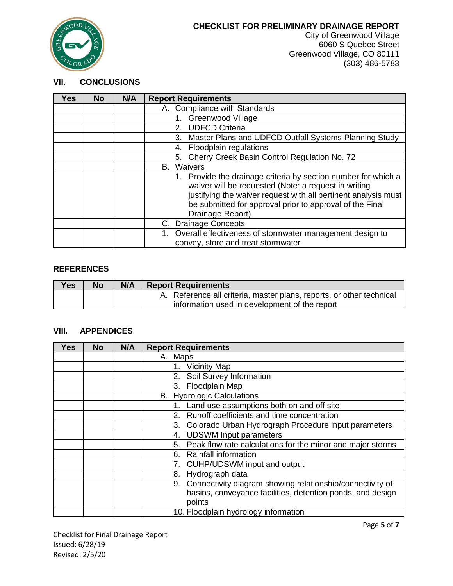

City of Greenwood Village 6060 S Quebec Street Greenwood Village, CO 80111 (303) 486-5783

### **VII. CONCLUSIONS**

| <b>Yes</b> | <b>No</b> | N/A | <b>Report Requirements</b>                                     |
|------------|-----------|-----|----------------------------------------------------------------|
|            |           |     | A. Compliance with Standards                                   |
|            |           |     | <b>Greenwood Village</b>                                       |
|            |           |     | <b>UDFCD Criteria</b><br>2.                                    |
|            |           |     | Master Plans and UDFCD Outfall Systems Planning Study<br>3.    |
|            |           |     | 4. Floodplain regulations                                      |
|            |           |     | 5. Cherry Creek Basin Control Regulation No. 72                |
|            |           |     | Waivers<br>В.                                                  |
|            |           |     | 1. Provide the drainage criteria by section number for which a |
|            |           |     | waiver will be requested (Note: a request in writing           |
|            |           |     | justifying the waiver request with all pertinent analysis must |
|            |           |     | be submitted for approval prior to approval of the Final       |
|            |           |     | Drainage Report)                                               |
|            |           |     | C. Drainage Concepts                                           |
|            |           |     | Overall effectiveness of stormwater management design to       |
|            |           |     | convey, store and treat stormwater                             |

## **REFERENCES**

| <b>Yes</b> | <b>No</b> | N/A | <b>Report Requirements</b>                                           |  |
|------------|-----------|-----|----------------------------------------------------------------------|--|
|            |           |     | A. Reference all criteria, master plans, reports, or other technical |  |
|            |           |     | information used in development of the report                        |  |

# **VIII. APPENDICES**

| <b>Yes</b> | <b>No</b> | N/A | <b>Report Requirements</b>                                       |
|------------|-----------|-----|------------------------------------------------------------------|
|            |           |     | A. Maps                                                          |
|            |           |     | <b>Vicinity Map</b><br>1.                                        |
|            |           |     | Soil Survey Information<br>2.                                    |
|            |           |     | Floodplain Map<br>3.                                             |
|            |           |     | <b>B.</b> Hydrologic Calculations                                |
|            |           |     | Land use assumptions both on and off site<br>1.                  |
|            |           |     | Runoff coefficients and time concentration<br>2.                 |
|            |           |     | Colorado Urban Hydrograph Procedure input parameters<br>3.       |
|            |           |     | <b>UDSWM Input parameters</b><br>4.                              |
|            |           |     | Peak flow rate calculations for the minor and major storms<br>5. |
|            |           |     | <b>Rainfall information</b><br>6.                                |
|            |           |     | CUHP/UDSWM input and output<br>7.                                |
|            |           |     | Hydrograph data<br>8.                                            |
|            |           |     | Connectivity diagram showing relationship/connectivity of<br>9.  |
|            |           |     | basins, conveyance facilities, detention ponds, and design       |
|            |           |     | points                                                           |
|            |           |     | 10. Floodplain hydrology information                             |

Checklist for Final Drainage Report Issued: 6/28/19 Revised: 2/5/20

Page **5** of **7**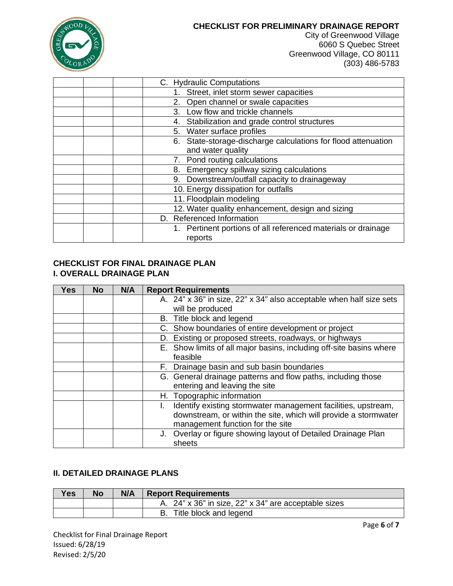

City of Greenwood Village 6060 S Quebec Street Greenwood Village, CO 80111 (303) 486-5783

| C. Hydraulic Computations                                     |
|---------------------------------------------------------------|
| Street, inlet storm sewer capacities                          |
| Open channel or swale capacities<br>2.                        |
| Low flow and trickle channels<br>3.                           |
| Stabilization and grade control structures<br>4.              |
| 5. Water surface profiles                                     |
| 6. State-storage-discharge calculations for flood attenuation |
| and water quality                                             |
| Pond routing calculations<br>7.                               |
| Emergency spillway sizing calculations<br>8.                  |
| 9. Downstream/outfall capacity to drainageway                 |
| 10. Energy dissipation for outfalls                           |
| 11. Floodplain modeling                                       |
| 12. Water quality enhancement, design and sizing              |
| D. Referenced Information                                     |
| 1. Pertinent portions of all referenced materials or drainage |
| reports                                                       |

#### **CHECKLIST FOR FINAL DRAINAGE PLAN I. OVERALL DRAINAGE PLAN**

| <b>Yes</b> | <b>No</b> | N/A | <b>Report Requirements</b>                                          |
|------------|-----------|-----|---------------------------------------------------------------------|
|            |           |     | A. 24" x 36" in size, 22" x 34" also acceptable when half size sets |
|            |           |     | will be produced                                                    |
|            |           |     | B. Title block and legend                                           |
|            |           |     | C. Show boundaries of entire development or project                 |
|            |           |     | D. Existing or proposed streets, roadways, or highways              |
|            |           |     | E. Show limits of all major basins, including off-site basins where |
|            |           |     | feasible                                                            |
|            |           |     | F. Drainage basin and sub basin boundaries                          |
|            |           |     | G. General drainage patterns and flow paths, including those        |
|            |           |     | entering and leaving the site                                       |
|            |           |     | H. Topographic information                                          |
|            |           |     | Identify existing stormwater management facilities, upstream,       |
|            |           |     | downstream, or within the site, which will provide a stormwater     |
|            |           |     | management function for the site                                    |
|            |           |     | J. Overlay or figure showing layout of Detailed Drainage Plan       |
|            |           |     | sheets                                                              |

# **II. DETAILED DRAINAGE PLANS**

| <b>Yes</b> | <b>No</b> | N/A | <b>Report Requirements</b>                           |
|------------|-----------|-----|------------------------------------------------------|
|            |           |     | A. 24" x 36" in size, 22" x 34" are acceptable sizes |
|            |           |     | B. Title block and legend                            |